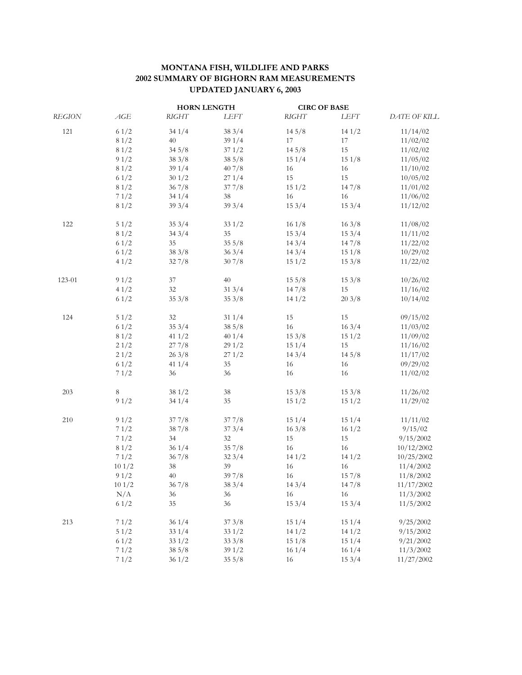## **MONTANA FISH, WILDLIFE AND PARKS 2002 SUMMARY OF BIGHORN RAM MEASUREMENTS UPDATED JANUARY 6, 2003**

|        |       | <b>HORN LENGTH</b> |        | <b>CIRC OF BASE</b> |       |              |
|--------|-------|--------------------|--------|---------------------|-------|--------------|
| REGION | AGE   | <b>RIGHT</b>       | LEFT   | <b>RIGHT</b>        | LEFT  | DATE OF KILL |
| 121    | 61/2  | 341/4              | 383/4  | 145/8               | 141/2 | 11/14/02     |
|        | 81/2  | 40                 | 391/4  | 17                  | 17    | 11/02/02     |
|        | 81/2  | 345/8              | 371/2  | 145/8               | 15    | 11/02/02     |
|        | 91/2  | 383/8              | 385/8  | 151/4               | 151/8 | 11/05/02     |
|        | 81/2  | 391/4              | 407/8  | 16                  | 16    | 11/10/02     |
|        | 61/2  | 301/2              | 271/4  | 15                  | 15    | 10/05/02     |
|        | 81/2  | 367/8              | 377/8  | 151/2               | 147/8 | 11/01/02     |
|        | 71/2  | 341/4              | 38     | 16                  | 16    | 11/06/02     |
|        | 81/2  | 393/4              | 393/4  | 153/4               | 153/4 | 11/12/02     |
| 122    | 51/2  | 353/4              | 331/2  | 161/8               | 163/8 | 11/08/02     |
|        | 81/2  | 343/4              | 35     | 153/4               | 153/4 | 11/11/02     |
|        | 61/2  | 35                 | 355/8  | 143/4               | 147/8 | 11/22/02     |
|        | 61/2  | 383/8              | 363/4  | 143/4               | 151/8 | 10/29/02     |
|        | 41/2  | 327/8              | 307/8  | 151/2               | 153/8 | 11/22/02     |
| 123-01 | 91/2  | 37                 | 40     | 155/8               | 153/8 | 10/26/02     |
|        | 41/2  | $32\,$             | 313/4  | 147/8               | 15    | 11/16/02     |
|        | 61/2  | 353/8              | 353/8  | 141/2               | 203/8 | 10/14/02     |
| 124    | 51/2  | 32                 | 311/4  | 15                  | 15    | 09/15/02     |
|        | 61/2  | 353/4              | 385/8  | 16                  | 163/4 | 11/03/02     |
|        | 81/2  | 411/2              | 401/4  | 153/8               | 151/2 | 11/09/02     |
|        | 21/2  | 277/8              | 291/2  | 151/4               | 15    | 11/16/02     |
|        | 21/2  | 263/8              | 271/2  | 143/4               | 145/8 | 11/17/02     |
|        | 61/2  | 411/4              | 35     | 16                  | 16    | 09/29/02     |
|        | 71/2  | 36                 | 36     | 16                  | 16    | 11/02/02     |
| 203    | 8     | 381/2              | 38     | 153/8               | 153/8 | 11/26/02     |
|        | 91/2  | 341/4              | 35     | 151/2               | 151/2 | 11/29/02     |
| 210    | 91/2  | 377/8              | 377/8  | 151/4               | 151/4 | 11/11/02     |
|        | 71/2  | 387/8              | 373/4  | 163/8               | 161/2 | 9/15/02      |
|        | 71/2  | 34                 | 32     | 15                  | 15    | 9/15/2002    |
|        | 81/2  | 361/4              | 357/8  | 16                  | 16    | 10/12/2002   |
|        | 71/2  | 367/8              | 323/4  | 141/2               | 141/2 | 10/25/2002   |
|        | 101/2 | $38\,$             | 39     | 16                  | 16    | 11/4/2002    |
|        | 91/2  | 40                 | 39 7/8 | 16                  | 157/8 | 11/8/2002    |
|        | 101/2 | 367/8              | 383/4  | 143/4               | 147/8 | 11/17/2002   |
|        | N/A   | 36                 | 36     | 16                  | 16    | 11/3/2002    |
|        | 61/2  | 35                 | 36     | 153/4               | 153/4 | 11/5/2002    |
| 213    | 71/2  | 361/4              | 373/8  | 151/4               | 151/4 | 9/25/2002    |
|        | 51/2  | 331/4              | 331/2  | 141/2               | 141/2 | 9/15/2002    |
|        | 61/2  | 331/2              | 333/8  | 151/8               | 151/4 | 9/21/2002    |
|        | 71/2  | 385/8              | 391/2  | 161/4               | 161/4 | 11/3/2002    |
|        | 71/2  | 361/2              | 355/8  | 16                  | 153/4 | 11/27/2002   |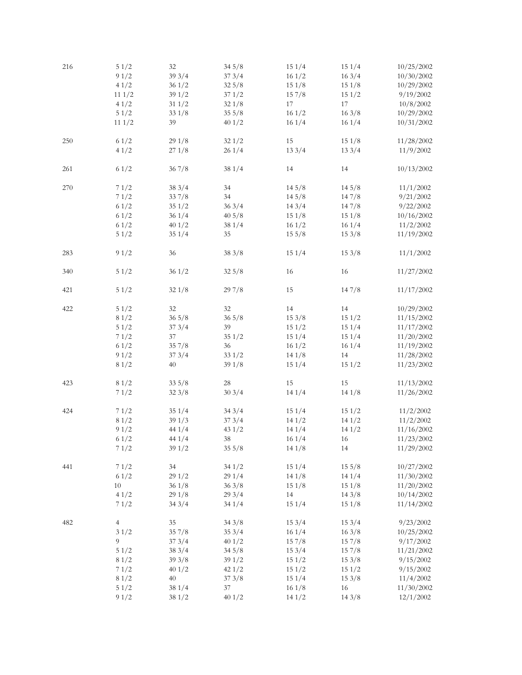| 216     | 51/2           | 32     | 345/8  | 151/4 | 151/4 | 10/25/2002 |
|---------|----------------|--------|--------|-------|-------|------------|
|         | 91/2           | 393/4  | 373/4  | 161/2 | 163/4 | 10/30/2002 |
|         | 41/2           | 361/2  | 325/8  | 151/8 | 151/8 | 10/29/2002 |
|         | 111/2          | 391/2  | 371/2  | 157/8 | 151/2 | 9/19/2002  |
|         |                |        |        |       |       |            |
|         | 41/2           | 311/2  | 321/8  | 17    | 17    | 10/8/2002  |
|         | 51/2           | 331/8  | 355/8  | 161/2 | 163/8 | 10/29/2002 |
|         | 111/2          | 39     | 401/2  | 161/4 | 161/4 | 10/31/2002 |
|         |                |        |        |       |       |            |
|         |                |        |        |       | 151/8 |            |
| $250\,$ | 61/2           | 291/8  | 321/2  | 15    |       | 11/28/2002 |
|         | 41/2           | 271/8  | 261/4  | 133/4 | 133/4 | 11/9/2002  |
|         |                |        |        |       |       |            |
| 261     | 61/2           | 367/8  | 381/4  | 14    | 14    | 10/13/2002 |
|         |                |        |        |       |       |            |
| $270\,$ | 71/2           | 383/4  | 34     | 145/8 | 145/8 | 11/1/2002  |
|         |                |        | 34     |       |       |            |
|         | 71/2           | 337/8  |        | 145/8 | 147/8 | 9/21/2002  |
|         | 61/2           | 351/2  | 363/4  | 143/4 | 147/8 | 9/22/2002  |
|         | 61/2           | 361/4  | 405/8  | 151/8 | 151/8 | 10/16/2002 |
|         | 61/2           | 401/2  | 381/4  | 161/2 | 161/4 | 11/2/2002  |
|         | 51/2           | 351/4  | 35     | 155/8 | 153/8 | 11/19/2002 |
|         |                |        |        |       |       |            |
|         |                |        |        |       |       |            |
| 283     | 91/2           | 36     | 383/8  | 151/4 | 153/8 | 11/1/2002  |
|         |                |        |        |       |       |            |
| 340     | 51/2           | 361/2  | 325/8  | 16    | 16    | 11/27/2002 |
|         |                |        |        |       |       |            |
| 421     | 51/2           | 321/8  | 297/8  | 15    | 147/8 | 11/17/2002 |
|         |                |        |        |       |       |            |
|         |                |        |        |       |       |            |
| 422     | 51/2           | 32     | $32\,$ | 14    | 14    | 10/29/2002 |
|         | 81/2           | 365/8  | 365/8  | 153/8 | 151/2 | 11/15/2002 |
|         | 51/2           | 373/4  | 39     | 151/2 | 151/4 | 11/17/2002 |
|         | 71/2           | 37     | 351/2  | 151/4 | 151/4 | 11/20/2002 |
|         |                |        |        |       |       |            |
|         | 61/2           | 357/8  | 36     | 161/2 | 161/4 | 11/19/2002 |
|         | 91/2           | 373/4  | 331/2  | 141/8 | 14    | 11/28/2002 |
|         | 81/2           | 40     | 391/8  | 151/4 | 151/2 | 11/23/2002 |
|         |                |        |        |       |       |            |
| 423     | 81/2           | 335/8  | 28     | 15    | 15    | 11/13/2002 |
|         |                |        |        | 141/4 |       |            |
|         | 71/2           | 323/8  | 303/4  |       | 141/8 | 11/26/2002 |
|         |                |        |        |       |       |            |
| 424     | 71/2           | 351/4  | 343/4  | 151/4 | 151/2 | 11/2/2002  |
|         | 81/2           | 391/3  | 373/4  | 141/2 | 141/2 | 11/2/2002  |
|         | 91/2           | 441/4  | 431/2  | 141/4 | 141/2 | 11/16/2002 |
|         | 61/2           | 441/4  | 38     | 161/4 | 16    | 11/23/2002 |
|         |                |        |        |       |       |            |
|         | 71/2           | 391/2  | 355/8  | 141/8 | 14    | 11/29/2002 |
|         |                |        |        |       |       |            |
| 441     | 71/2           | $34\,$ | 341/2  | 151/4 | 155/8 | 10/27/2002 |
|         | 61/2           | 291/2  | 291/4  | 141/8 | 141/4 | 11/30/2002 |
|         | $10\,$         | 361/8  | 363/8  | 151/8 | 151/8 | 11/20/2002 |
|         |                |        |        |       |       |            |
|         | 41/2           | 291/8  | 293/4  | 14    | 143/8 | 10/14/2002 |
|         | 71/2           | 343/4  | 341/4  | 151/4 | 151/8 | 11/14/2002 |
|         |                |        |        |       |       |            |
| 482     | $\overline{4}$ | 35     | 343/8  | 153/4 | 153/4 | 9/23/2002  |
|         | 31/2           | 357/8  | 353/4  | 161/4 | 163/8 | 10/25/2002 |
|         | 9              | 373/4  | 401/2  | 157/8 | 157/8 | 9/17/2002  |
|         |                |        |        |       |       |            |
|         | 51/2           | 383/4  | 345/8  | 153/4 | 157/8 | 11/21/2002 |
|         | 81/2           | 393/8  | 391/2  | 151/2 | 153/8 | 9/15/2002  |
|         | 71/2           | 401/2  | 421/2  | 151/2 | 151/2 | 9/15/2002  |
|         | 81/2           | 40     | 373/8  | 151/4 | 153/8 | 11/4/2002  |
|         | 51/2           | 381/4  | 37     | 161/8 | 16    | 11/30/2002 |
|         |                |        |        |       |       |            |
|         | 91/2           | 381/2  | 401/2  | 141/2 | 143/8 | 12/1/2002  |